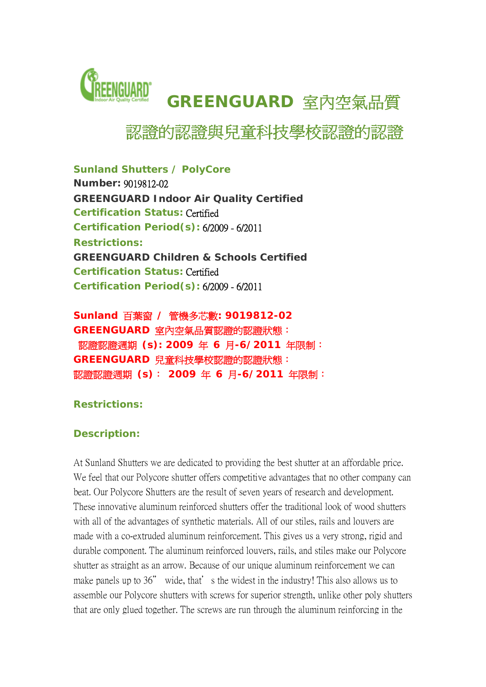

# 認證的認證與兒童科技學校認證的認證

*Sunland Shutters / PolyCore* 

**Number:** 9019812-02 **GREENGUARD Indoor Air Quality Certified Certification Status:** Certified **Certification Period(s):** 6/2009 - 6/2011 **Restrictions: GREENGUARD Children & Schools Certified Certification Status:** Certified **Certification Period(s):** 6/2009 - 6/2011

*Sunland* 百葉窗 **/** 管機多芯數**: 9019812-02 GREENGUARD** 室內空氣品質認證的認證狀態: 認證認證週期 **(s): 2009** 年 **6** 月**-6/2011** 年限制: **GREENGUARD** 兒童科技學校認證的認證狀態: 認證認證週期 **(s)**: **2009** 年 **6** 月**-6/2011** 年限制:

## **Restrictions:**

## **Description:**

At Sunland Shutters we are dedicated to providing the best shutter at an affordable price. We feel that our Polycore shutter offers competitive advantages that no other company can beat. Our Polycore Shutters are the result of seven years of research and development. These innovative aluminum reinforced shutters offer the traditional look of wood shutters with all of the advantages of synthetic materials. All of our stiles, rails and louvers are made with a co-extruded aluminum reinforcement. This gives us a very strong, rigid and durable component. The aluminum reinforced louvers, rails, and stiles make our Polycore shutter as straight as an arrow. Because of our unique aluminum reinforcement we can make panels up to 36" wide, that's the widest in the industry! This also allows us to assemble our Polycore shutters with screws for superior strength, unlike other poly shutters that are only glued together. The screws are run through the aluminum reinforcing in the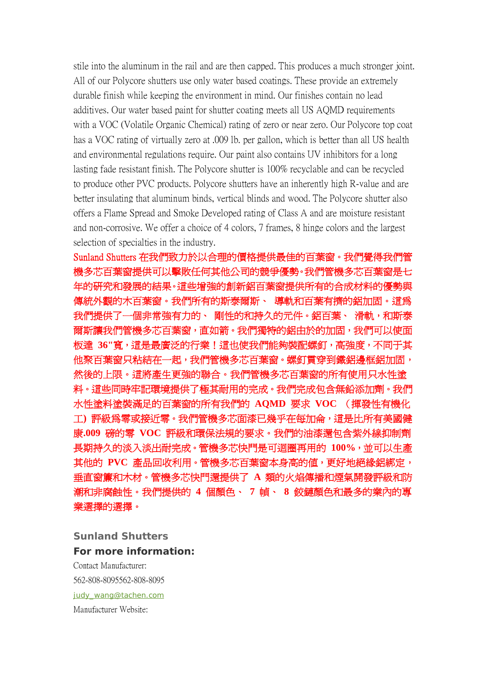stile into the aluminum in the rail and are then capped. This produces a much stronger joint. All of our Polycore shutters use only water based coatings. These provide an extremely durable finish while keeping the environment in mind. Our finishes contain no lead additives. Our water based paint for shutter coating meets all US AQMD requirements with a VOC (Volatile Organic Chemical) rating of zero or near zero. Our Polycore top coat has a VOC rating of virtually zero at .009 lb. per gallon, which is better than all US health and environmental regulations require. Our paint also contains UV inhibitors for a long lasting fade resistant finish. The Polycore shutter is 100% recyclable and can be recycled to produce other PVC products. Polycore shutters have an inherently high R-value and are better insulating that aluminum binds, vertical blinds and wood. The Polycore shutter also offers a Flame Spread and Smoke Developed rating of Class A and are moisture resistant and non-corrosive. We offer a choice of 4 colors, 7 frames, 8 hinge colors and the largest selection of specialties in the industry.

Sunland Shutters 在我們致力於以合理的價格提供最佳的百葉窗。我們覺得我們管 機多芯百葉窗提供可以擊敗任何其他公司的競爭優勢。我們管機多芯百葉窗是七 年的研究和發展的結果。這些增強的創新鋁百葉窗提供所有的合成材料的優勢與 傳統外觀的木百葉窗。我們所有的斯泰爾斯、 導軌和百葉有擠的鋁加固。這為 我們提供了一個非常強有力的、 剛性的和持久的元件。鋁百葉、 滑軌,和斯泰 爾斯讓我們管機多芯百葉窗,直如箭。我們獨特的鋁由於的加固,我們可以使面 板達 **36"**寬,這是最廣泛的行業!這也使我們能夠裝配螺釘,高強度,不同于其 他聚百葉窗只粘結在一起,我們管機多芯百葉窗。螺釘貫穿到鐵鋁邊框鋁加固, 然後的上限。這將產生更強的聯合。我們管機多芯百葉窗的所有使用只水性塗 料。這些同時牢記環境提供了極其耐用的完成。我們完成包含無鉛添加劑。我們 水性塗料塗裝滿足的百葉窗的所有我們的 **AQMD** 要求 **VOC** (揮發性有機化 工**)** 評級為零或接近零。我們管機多芯面漆已幾乎在每加侖,這是比所有美國健 康**.009** 磅的零 **VOC** 評級和環保法規的要求。我們的油漆還包含紫外線抑制劑 長期持久的淡入淡出耐完成。管機多芯快門是可迴圈再用的 **100%**,並可以生產 其他的 **PVC** 產品回收利用。管機多芯百葉窗本身高的值,更好地絕緣鋁綁定, 垂直窗簾和木材。管機多芯快門還提供了 **A** 類的火焰傳播和煙氣開發評級和防 潮和非腐蝕性。我們提供的 **4** 個顏色、 **7** 幀、 **8** 鉸鏈顏色和最多的業內的專 業選擇的選擇。

### **Sunland Shutters For more information:**

Contact Manufacturer: 562-808-8095 562-808-8095 [judy\\_wang@tachen.com](mailto:judy_wang@tachen.com) Manufacturer Website: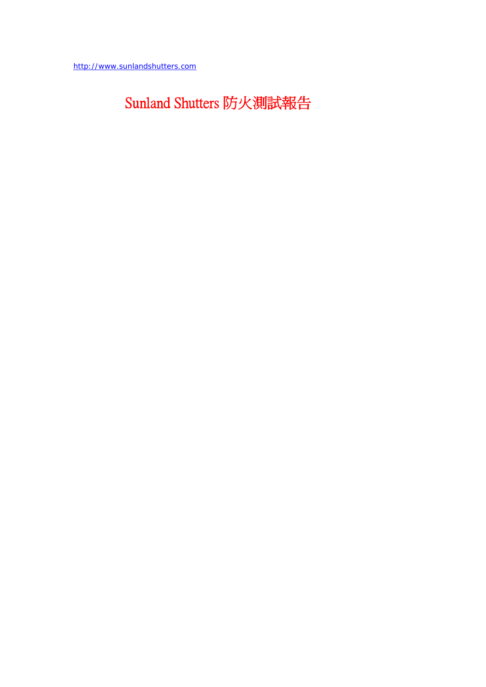[http://www.sunlandshutters.com](http://www.sunlandshutters.com/)

# Sunland Shutters 防火測試報告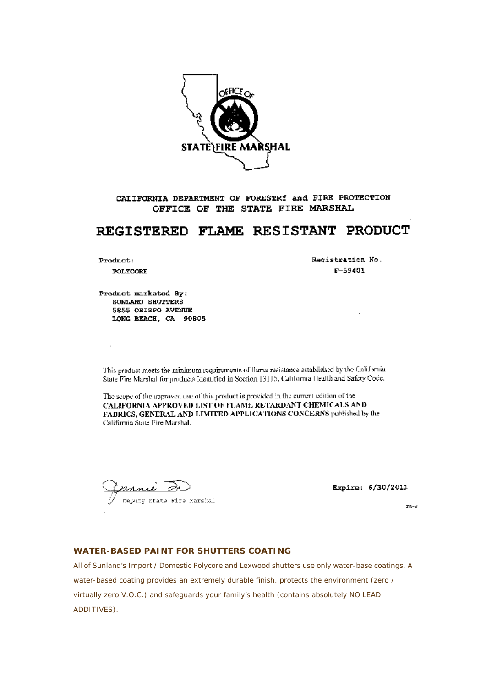

CALIFORNIA DEPARTMENT OF FORESTRY and FIRE PROTECTION OFFICE OF THE STATE FIRE MARSHAL

# REGISTERED FLAME RESISTANT PRODUCT

Product:

 $\overline{\phantom{a}}$ 

POLYCORE

Registration No.  $F - 59401$ 

Product marketed By: SUNLAND SHUTTERS 5855 OBISPO AVENUE LONG BEACH. CA 90805

This product meets the minimum requirements of flame resistance established by the California State Fire Marshal for products Identified in Section 13115, California Health and Safety Coco.

The scope of the approved use of this product is provided in the current edition of the CALIFORNIA APPROVED LIST OF FLAME RETARDANT CHEMICALS AND FABRICS, GENERAL AND LIMITED APPLICATIONS CONCERNS published by the California State Fire Marshal.

أعدمه Deputy State Fire Marshal

Expire: 6/30/2011

 $\overline{z}$ R-3

#### **WATER-BASED PAINT FOR SHUTTERS COATING**

All of Sunland's Import / Domestic Polycore and Lexwood shutters use only water-base coatings. A water-based coating provides an extremely durable finish, protects the environment (zero / virtually zero V.O.C.) and safequards your family's health (contains absolutely NO LEAD ADDITIVES).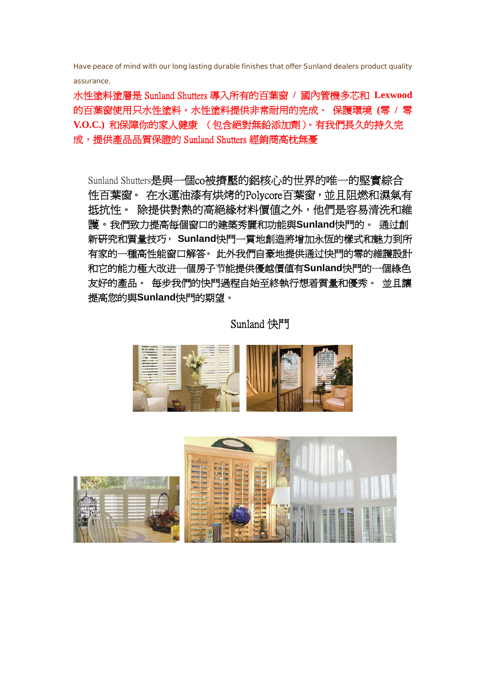Have peace of mind with our long lasting durable finishes that offer Sunland dealers product quality assurance.

水性塗料塗層是 Sunland Shutters 導入所有的百葉窗 **/** 國內管機多芯和 **Lexwood**  的百葉窗使用只水性塗料。水性塗料提供非常耐用的完成、 保護環境 **(**零 **/** 零 **V.O.C.)** 和保障你的家人健康 (包含絕對無鉛添加劑)。有我們長久的持久完 成,提供產品品質保證的 Sunland Shutters 經銷商高枕無憂

Sunland Shutters是與一個co被擠壓的鋁核心的世界的唯一的堅實綜合 性百葉窗。 在水運油漆有烘烤的Polycore百葉窗,並且阻燃和濕氣有 抵抗性。 除提供對熱的高絕緣材料價值之外,他們是容易清洗和維 護。我們致力提高每個窗口的建築秀麗和功能與**Sunland**快門的。 通过創 新研究和質量技巧, **Sunland**快門一貫地創造將增加永恆的樣式和魅力到所 有家的一種高性能窗口解答。 此外我們自豪地提供通过快門的零的維護設計 和它的能力極大改进一個房子节能提供優越價值有**Sunland**快門的一個綠色 友好的產品。 每步我們的快門過程自始至終執行想着質量和優秀。 並且讓 提高您的與**Sunland**快門的期望。

## Sunland 快門



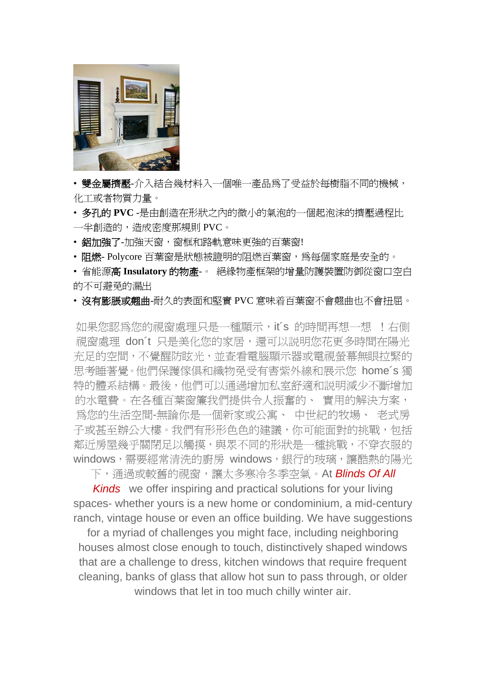

• 雙金屬擠壓-介入結合幾材料入一個唯一產品爲了受益於每樹脂不同的機械, 化工或者物質力量。

- 多孔的 **PVC** -是由創造在形狀之內的微小的氣泡的一個起泡沫的擠壓過程比 一半創造的,造成密度那規則 PVC。
- 鋁加強了-加強天窗,窗框和路軌意味更強的百葉窗!
- 阻燃- Polycore 百葉窗是狀態被證明的阻燃百葉窗,為每個家庭是安全的。

• 省能源高 **Insulatory** 的物產-。 絕緣物產框架的增量防護裝置防御從窗口空白 的不可避免的漏出

• 沒有膨脹或翹曲-耐久的表面和堅實 PVC 意味着百葉窗不會翹曲也不會扭屈。

如果您認為您的視窗處理只是一種顯示, it's 的時間再想一想 ! 右側 視窗處理 don't 只是美化您的家居,還可以説明您花更多時間在陽光 充足的空間,不覺醒防眩光,並查看電腦顯示器或電視螢幕無眼拉緊的 思考睡著覺。他們保護傢俱和織物免受有害紫外線和展示您 home´s 獨 特的體系結構。最後,他們可以通過增加私室舒適和説明減少不斷增加 的水電費。在各種百葉窗簾我們提供令人振奮的、 實用的解決方案, 為您的生活空間-無論你是一個新家或公寓、 中世紀的牧場、 老式房 子或甚至辦公大樓。我們有形形色色的建議,你可能面對的挑戰,包括 鄰近房屋幾乎關閉足以觸摸,與眾不同的形狀是一種挑戰,不穿衣服的 windows,需要經常清洗的廚房 windows,銀行的玻璃,讓酷熱的陽光

下,通過或較舊的視窗,讓太多寒冷冬季空氣。At *Blinds Of All* 

*Kinds* we offer inspiring and practical solutions for your living spaces- whether yours is a new home or condominium, a mid-century ranch, vintage house or even an office building. We have suggestions

for a myriad of challenges you might face, including neighboring houses almost close enough to touch, distinctively shaped windows that are a challenge to dress, kitchen windows that require frequent cleaning, banks of glass that allow hot sun to pass through, or older windows that let in too much chilly winter air.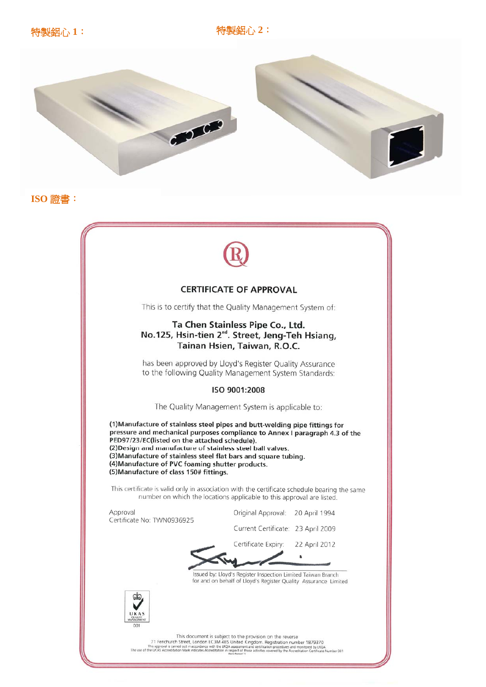

ISO 證書:



#### **CERTIFICATE OF APPROVAL**

This is to certify that the Quality Management System of:

#### Ta Chen Stainless Pipe Co., Ltd. No.125, Hsin-tien 2<sup>nd</sup>. Street, Jeng-Teh Hsiang, Tainan Hsien, Taiwan, R.O.C.

has been approved by Lloyd's Register Quality Assurance to the following Quality Management System Standards:

#### ISO 9001:2008

The Quality Management System is applicable to:

(1) Manufacture of stainless steel pipes and butt-welding pipe fittings for pressure and mechanical purposes compliance to Annex I paragraph 4.3 of the PED97/23/EC(listed on the attached schedule). (2) Design and manufacture of stainless steel ball valves. (3) Manufacture of stainless steel flat bars and square tubing. (4) Manufacture of PVC foaming shutter products. (5) Manufacture of class 150# fittings.

This certificate is valid only in association with the certificate schedule bearing the same number on which the locations applicable to this approval are listed.

Approval Certificate No: TWN0936925 Original Approval: 20 April 1994

Current Certificate: 23 April 2009

Certificate Expiry: 22 April 2012

 $\bullet$ 

Issued by: Lloyd's Register Inspection Limited Taiwan Branch for and on behalf of Lloyd's Register Quality Assurance Limited



This document is subject to the provision on the reverse<br>This approchurch Street, London EC3M 4BS United Kingdom. Registration number 1879370<br>This approxil is carried out in accordance with the UROA assessment and extilica